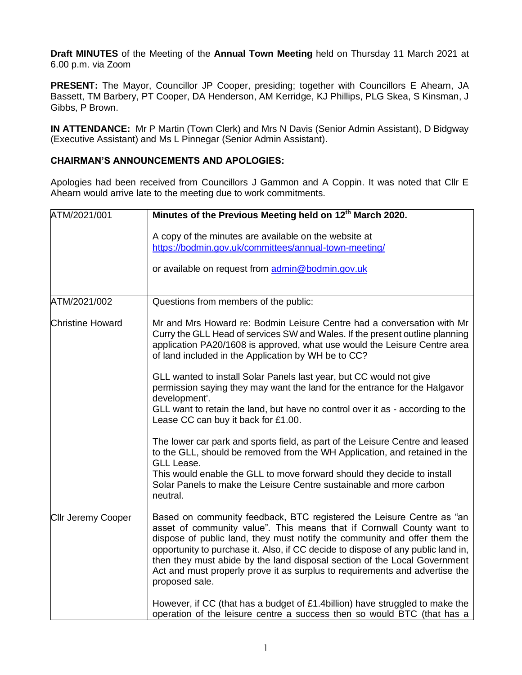**Draft MINUTES** of the Meeting of the **Annual Town Meeting** held on Thursday 11 March 2021 at 6.00 p.m. via Zoom

**PRESENT:** The Mayor, Councillor JP Cooper, presiding; together with Councillors E Ahearn, JA Bassett, TM Barbery, PT Cooper, DA Henderson, AM Kerridge, KJ Phillips, PLG Skea, S Kinsman, J Gibbs, P Brown.

**IN ATTENDANCE:** Mr P Martin (Town Clerk) and Mrs N Davis (Senior Admin Assistant), D Bidgway (Executive Assistant) and Ms L Pinnegar (Senior Admin Assistant).

## **CHAIRMAN'S ANNOUNCEMENTS AND APOLOGIES:**

Apologies had been received from Councillors J Gammon and A Coppin. It was noted that Cllr E Ahearn would arrive late to the meeting due to work commitments.

| ATM/2021/001              | Minutes of the Previous Meeting held on 12 <sup>th</sup> March 2020.                                                                                                                                                                                                                                                                                                                                                                                                                          |
|---------------------------|-----------------------------------------------------------------------------------------------------------------------------------------------------------------------------------------------------------------------------------------------------------------------------------------------------------------------------------------------------------------------------------------------------------------------------------------------------------------------------------------------|
|                           | A copy of the minutes are available on the website at<br>https://bodmin.gov.uk/committees/annual-town-meeting/                                                                                                                                                                                                                                                                                                                                                                                |
|                           | or available on request from admin@bodmin.gov.uk                                                                                                                                                                                                                                                                                                                                                                                                                                              |
| ATM/2021/002              | Questions from members of the public:                                                                                                                                                                                                                                                                                                                                                                                                                                                         |
| <b>Christine Howard</b>   | Mr and Mrs Howard re: Bodmin Leisure Centre had a conversation with Mr<br>Curry the GLL Head of services SW and Wales. If the present outline planning<br>application PA20/1608 is approved, what use would the Leisure Centre area<br>of land included in the Application by WH be to CC?                                                                                                                                                                                                    |
|                           | GLL wanted to install Solar Panels last year, but CC would not give<br>permission saying they may want the land for the entrance for the Halgavor<br>development'.                                                                                                                                                                                                                                                                                                                            |
|                           | GLL want to retain the land, but have no control over it as - according to the<br>Lease CC can buy it back for £1.00.                                                                                                                                                                                                                                                                                                                                                                         |
|                           | The lower car park and sports field, as part of the Leisure Centre and leased<br>to the GLL, should be removed from the WH Application, and retained in the<br>GLL Lease.                                                                                                                                                                                                                                                                                                                     |
|                           | This would enable the GLL to move forward should they decide to install<br>Solar Panels to make the Leisure Centre sustainable and more carbon<br>neutral.                                                                                                                                                                                                                                                                                                                                    |
| <b>Cllr Jeremy Cooper</b> | Based on community feedback, BTC registered the Leisure Centre as "an<br>asset of community value". This means that if Cornwall County want to<br>dispose of public land, they must notify the community and offer them the<br>opportunity to purchase it. Also, if CC decide to dispose of any public land in,<br>then they must abide by the land disposal section of the Local Government<br>Act and must properly prove it as surplus to requirements and advertise the<br>proposed sale. |
|                           | However, if CC (that has a budget of £1.4billion) have struggled to make the<br>operation of the leisure centre a success then so would BTC (that has a                                                                                                                                                                                                                                                                                                                                       |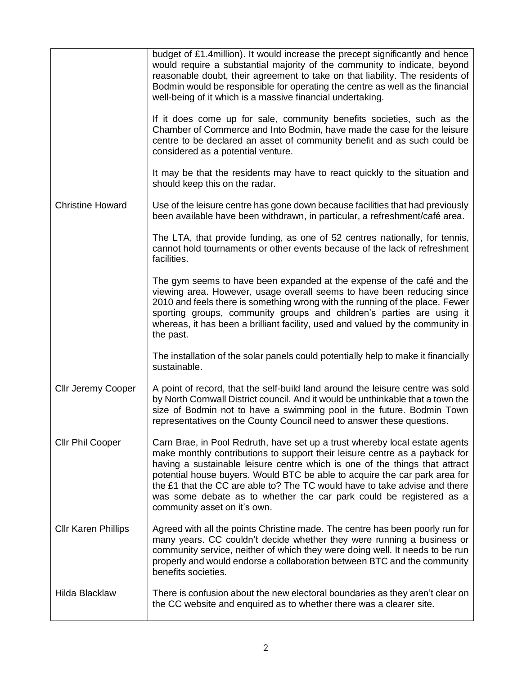|                            | budget of £1.4million). It would increase the precept significantly and hence<br>would require a substantial majority of the community to indicate, beyond<br>reasonable doubt, their agreement to take on that liability. The residents of<br>Bodmin would be responsible for operating the centre as well as the financial<br>well-being of it which is a massive financial undertaking.                                                                                                                   |
|----------------------------|--------------------------------------------------------------------------------------------------------------------------------------------------------------------------------------------------------------------------------------------------------------------------------------------------------------------------------------------------------------------------------------------------------------------------------------------------------------------------------------------------------------|
|                            | If it does come up for sale, community benefits societies, such as the<br>Chamber of Commerce and Into Bodmin, have made the case for the leisure<br>centre to be declared an asset of community benefit and as such could be<br>considered as a potential venture.                                                                                                                                                                                                                                          |
|                            | It may be that the residents may have to react quickly to the situation and<br>should keep this on the radar.                                                                                                                                                                                                                                                                                                                                                                                                |
| <b>Christine Howard</b>    | Use of the leisure centre has gone down because facilities that had previously<br>been available have been withdrawn, in particular, a refreshment/café area.                                                                                                                                                                                                                                                                                                                                                |
|                            | The LTA, that provide funding, as one of 52 centres nationally, for tennis,<br>cannot hold tournaments or other events because of the lack of refreshment<br>facilities.                                                                                                                                                                                                                                                                                                                                     |
|                            | The gym seems to have been expanded at the expense of the café and the<br>viewing area. However, usage overall seems to have been reducing since<br>2010 and feels there is something wrong with the running of the place. Fewer<br>sporting groups, community groups and children's parties are using it<br>whereas, it has been a brilliant facility, used and valued by the community in<br>the past.                                                                                                     |
|                            | The installation of the solar panels could potentially help to make it financially<br>sustainable.                                                                                                                                                                                                                                                                                                                                                                                                           |
| <b>Cllr Jeremy Cooper</b>  | A point of record, that the self-build land around the leisure centre was sold<br>by North Cornwall District council. And it would be unthinkable that a town the<br>size of Bodmin not to have a swimming pool in the future. Bodmin Town<br>representatives on the County Council need to answer these questions.                                                                                                                                                                                          |
| Cllr Phil Cooper           | Carn Brae, in Pool Redruth, have set up a trust whereby local estate agents<br>make monthly contributions to support their leisure centre as a payback for<br>having a sustainable leisure centre which is one of the things that attract<br>potential house buyers. Would BTC be able to acquire the car park area for<br>the £1 that the CC are able to? The TC would have to take advise and there<br>was some debate as to whether the car park could be registered as a<br>community asset on it's own. |
| <b>Cllr Karen Phillips</b> | Agreed with all the points Christine made. The centre has been poorly run for<br>many years. CC couldn't decide whether they were running a business or<br>community service, neither of which they were doing well. It needs to be run<br>properly and would endorse a collaboration between BTC and the community<br>benefits societies.                                                                                                                                                                   |
| <b>Hilda Blacklaw</b>      | There is confusion about the new electoral boundaries as they aren't clear on<br>the CC website and enquired as to whether there was a clearer site.                                                                                                                                                                                                                                                                                                                                                         |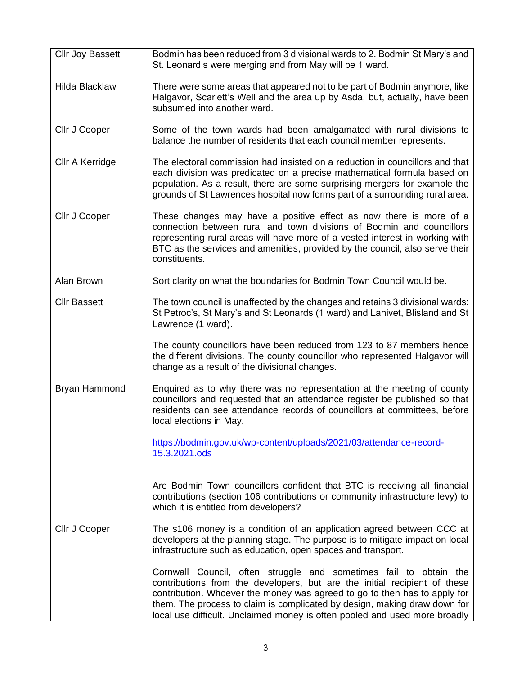| <b>Cllr Joy Bassett</b> | Bodmin has been reduced from 3 divisional wards to 2. Bodmin St Mary's and<br>St. Leonard's were merging and from May will be 1 ward.                                                                                                                                                                                                                                                  |
|-------------------------|----------------------------------------------------------------------------------------------------------------------------------------------------------------------------------------------------------------------------------------------------------------------------------------------------------------------------------------------------------------------------------------|
| Hilda Blacklaw          | There were some areas that appeared not to be part of Bodmin anymore, like<br>Halgavor, Scarlett's Well and the area up by Asda, but, actually, have been<br>subsumed into another ward.                                                                                                                                                                                               |
| Cllr J Cooper           | Some of the town wards had been amalgamated with rural divisions to<br>balance the number of residents that each council member represents.                                                                                                                                                                                                                                            |
| Cllr A Kerridge         | The electoral commission had insisted on a reduction in councillors and that<br>each division was predicated on a precise mathematical formula based on<br>population. As a result, there are some surprising mergers for example the<br>grounds of St Lawrences hospital now forms part of a surrounding rural area.                                                                  |
| Cllr J Cooper           | These changes may have a positive effect as now there is more of a<br>connection between rural and town divisions of Bodmin and councillors<br>representing rural areas will have more of a vested interest in working with<br>BTC as the services and amenities, provided by the council, also serve their<br>constituents.                                                           |
| Alan Brown              | Sort clarity on what the boundaries for Bodmin Town Council would be.                                                                                                                                                                                                                                                                                                                  |
| <b>Cllr Bassett</b>     | The town council is unaffected by the changes and retains 3 divisional wards:<br>St Petroc's, St Mary's and St Leonards (1 ward) and Lanivet, Blisland and St<br>Lawrence (1 ward).                                                                                                                                                                                                    |
|                         | The county councillors have been reduced from 123 to 87 members hence<br>the different divisions. The county councillor who represented Halgavor will<br>change as a result of the divisional changes.                                                                                                                                                                                 |
| Bryan Hammond           | Enquired as to why there was no representation at the meeting of county<br>councillors and requested that an attendance register be published so that<br>residents can see attendance records of councillors at committees, before<br>local elections in May.                                                                                                                          |
|                         | https://bodmin.gov.uk/wp-content/uploads/2021/03/attendance-record-<br>15.3.2021.ods                                                                                                                                                                                                                                                                                                   |
|                         | Are Bodmin Town councillors confident that BTC is receiving all financial<br>contributions (section 106 contributions or community infrastructure levy) to<br>which it is entitled from developers?                                                                                                                                                                                    |
| Cllr J Cooper           | The s106 money is a condition of an application agreed between CCC at<br>developers at the planning stage. The purpose is to mitigate impact on local<br>infrastructure such as education, open spaces and transport.                                                                                                                                                                  |
|                         | Cornwall Council, often struggle and sometimes fail to obtain the<br>contributions from the developers, but are the initial recipient of these<br>contribution. Whoever the money was agreed to go to then has to apply for<br>them. The process to claim is complicated by design, making draw down for<br>local use difficult. Unclaimed money is often pooled and used more broadly |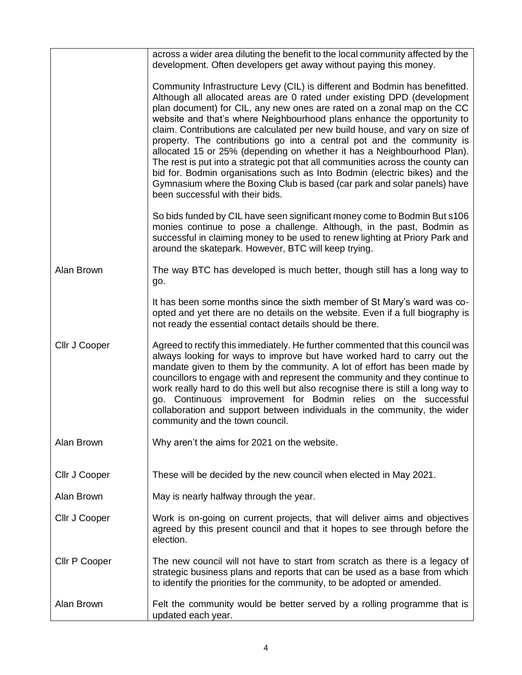|               | across a wider area diluting the benefit to the local community affected by the<br>development. Often developers get away without paying this money.                                                                                                                                                                                                                                                                                                                                                                                                                                                                                                                                                                                                                                                                                 |
|---------------|--------------------------------------------------------------------------------------------------------------------------------------------------------------------------------------------------------------------------------------------------------------------------------------------------------------------------------------------------------------------------------------------------------------------------------------------------------------------------------------------------------------------------------------------------------------------------------------------------------------------------------------------------------------------------------------------------------------------------------------------------------------------------------------------------------------------------------------|
|               | Community Infrastructure Levy (CIL) is different and Bodmin has benefitted.<br>Although all allocated areas are 0 rated under existing DPD (development<br>plan document) for CIL, any new ones are rated on a zonal map on the CC<br>website and that's where Neighbourhood plans enhance the opportunity to<br>claim. Contributions are calculated per new build house, and vary on size of<br>property. The contributions go into a central pot and the community is<br>allocated 15 or 25% (depending on whether it has a Neighbourhood Plan).<br>The rest is put into a strategic pot that all communities across the county can<br>bid for. Bodmin organisations such as Into Bodmin (electric bikes) and the<br>Gymnasium where the Boxing Club is based (car park and solar panels) have<br>been successful with their bids. |
|               | So bids funded by CIL have seen significant money come to Bodmin But s106<br>monies continue to pose a challenge. Although, in the past, Bodmin as<br>successful in claiming money to be used to renew lighting at Priory Park and<br>around the skatepark. However, BTC will keep trying.                                                                                                                                                                                                                                                                                                                                                                                                                                                                                                                                           |
| Alan Brown    | The way BTC has developed is much better, though still has a long way to<br>go.                                                                                                                                                                                                                                                                                                                                                                                                                                                                                                                                                                                                                                                                                                                                                      |
|               | It has been some months since the sixth member of St Mary's ward was co-<br>opted and yet there are no details on the website. Even if a full biography is<br>not ready the essential contact details should be there.                                                                                                                                                                                                                                                                                                                                                                                                                                                                                                                                                                                                               |
| Cllr J Cooper | Agreed to rectify this immediately. He further commented that this council was<br>always looking for ways to improve but have worked hard to carry out the<br>mandate given to them by the community. A lot of effort has been made by<br>councillors to engage with and represent the community and they continue to<br>work really hard to do this well but also recognise there is still a long way to<br>go. Continuous improvement for Bodmin relies on the successful<br>collaboration and support between individuals in the community, the wider<br>community and the town council.                                                                                                                                                                                                                                          |
| Alan Brown    | Why aren't the aims for 2021 on the website.                                                                                                                                                                                                                                                                                                                                                                                                                                                                                                                                                                                                                                                                                                                                                                                         |
| Cllr J Cooper | These will be decided by the new council when elected in May 2021.                                                                                                                                                                                                                                                                                                                                                                                                                                                                                                                                                                                                                                                                                                                                                                   |
| Alan Brown    | May is nearly halfway through the year.                                                                                                                                                                                                                                                                                                                                                                                                                                                                                                                                                                                                                                                                                                                                                                                              |
| Cllr J Cooper | Work is on-going on current projects, that will deliver aims and objectives<br>agreed by this present council and that it hopes to see through before the<br>election.                                                                                                                                                                                                                                                                                                                                                                                                                                                                                                                                                                                                                                                               |
| Cllr P Cooper | The new council will not have to start from scratch as there is a legacy of<br>strategic business plans and reports that can be used as a base from which<br>to identify the priorities for the community, to be adopted or amended.                                                                                                                                                                                                                                                                                                                                                                                                                                                                                                                                                                                                 |
| Alan Brown    | Felt the community would be better served by a rolling programme that is<br>updated each year.                                                                                                                                                                                                                                                                                                                                                                                                                                                                                                                                                                                                                                                                                                                                       |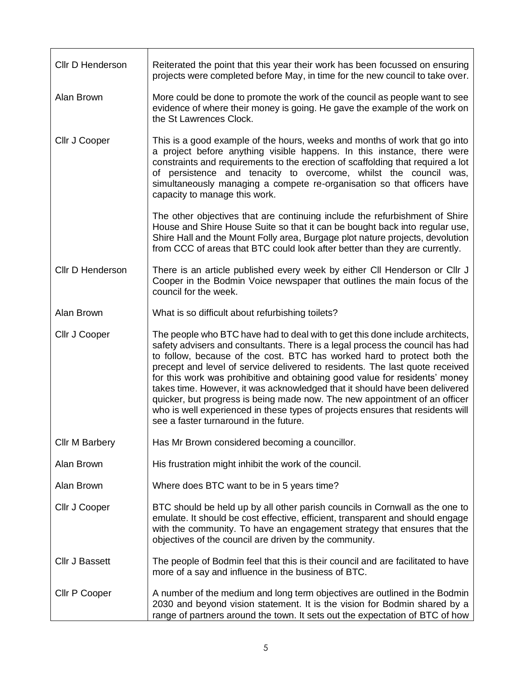| <b>CIIr D Henderson</b> | Reiterated the point that this year their work has been focussed on ensuring<br>projects were completed before May, in time for the new council to take over.                                                                                                                                                                                                                                                                                                                                                                                                                                                                                                                                     |
|-------------------------|---------------------------------------------------------------------------------------------------------------------------------------------------------------------------------------------------------------------------------------------------------------------------------------------------------------------------------------------------------------------------------------------------------------------------------------------------------------------------------------------------------------------------------------------------------------------------------------------------------------------------------------------------------------------------------------------------|
| Alan Brown              | More could be done to promote the work of the council as people want to see<br>evidence of where their money is going. He gave the example of the work on<br>the St Lawrences Clock.                                                                                                                                                                                                                                                                                                                                                                                                                                                                                                              |
| Cllr J Cooper           | This is a good example of the hours, weeks and months of work that go into<br>a project before anything visible happens. In this instance, there were<br>constraints and requirements to the erection of scaffolding that required a lot<br>of persistence and tenacity to overcome, whilst the council was,<br>simultaneously managing a compete re-organisation so that officers have<br>capacity to manage this work.                                                                                                                                                                                                                                                                          |
|                         | The other objectives that are continuing include the refurbishment of Shire<br>House and Shire House Suite so that it can be bought back into regular use,<br>Shire Hall and the Mount Folly area, Burgage plot nature projects, devolution<br>from CCC of areas that BTC could look after better than they are currently.                                                                                                                                                                                                                                                                                                                                                                        |
| <b>CIIr D Henderson</b> | There is an article published every week by either CII Henderson or CIIr J<br>Cooper in the Bodmin Voice newspaper that outlines the main focus of the<br>council for the week.                                                                                                                                                                                                                                                                                                                                                                                                                                                                                                                   |
| Alan Brown              | What is so difficult about refurbishing toilets?                                                                                                                                                                                                                                                                                                                                                                                                                                                                                                                                                                                                                                                  |
| Cllr J Cooper           | The people who BTC have had to deal with to get this done include architects,<br>safety advisers and consultants. There is a legal process the council has had<br>to follow, because of the cost. BTC has worked hard to protect both the<br>precept and level of service delivered to residents. The last quote received<br>for this work was prohibitive and obtaining good value for residents' money<br>takes time. However, it was acknowledged that it should have been delivered<br>quicker, but progress is being made now. The new appointment of an officer<br>who is well experienced in these types of projects ensures that residents will<br>see a faster turnaround in the future. |
| <b>Cllr M Barbery</b>   | Has Mr Brown considered becoming a councillor.                                                                                                                                                                                                                                                                                                                                                                                                                                                                                                                                                                                                                                                    |
| Alan Brown              | His frustration might inhibit the work of the council.                                                                                                                                                                                                                                                                                                                                                                                                                                                                                                                                                                                                                                            |
| Alan Brown              | Where does BTC want to be in 5 years time?                                                                                                                                                                                                                                                                                                                                                                                                                                                                                                                                                                                                                                                        |
| Cllr J Cooper           | BTC should be held up by all other parish councils in Cornwall as the one to<br>emulate. It should be cost effective, efficient, transparent and should engage<br>with the community. To have an engagement strategy that ensures that the<br>objectives of the council are driven by the community.                                                                                                                                                                                                                                                                                                                                                                                              |
| <b>Cllr J Bassett</b>   | The people of Bodmin feel that this is their council and are facilitated to have<br>more of a say and influence in the business of BTC.                                                                                                                                                                                                                                                                                                                                                                                                                                                                                                                                                           |
| Cllr P Cooper           | A number of the medium and long term objectives are outlined in the Bodmin<br>2030 and beyond vision statement. It is the vision for Bodmin shared by a<br>range of partners around the town. It sets out the expectation of BTC of how                                                                                                                                                                                                                                                                                                                                                                                                                                                           |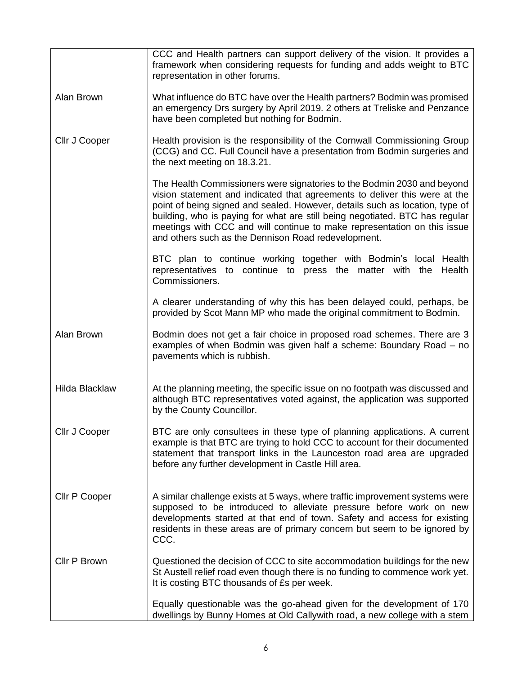|                       | CCC and Health partners can support delivery of the vision. It provides a<br>framework when considering requests for funding and adds weight to BTC<br>representation in other forums.                                                                                                                                                                                                                                                                   |
|-----------------------|----------------------------------------------------------------------------------------------------------------------------------------------------------------------------------------------------------------------------------------------------------------------------------------------------------------------------------------------------------------------------------------------------------------------------------------------------------|
| Alan Brown            | What influence do BTC have over the Health partners? Bodmin was promised<br>an emergency Drs surgery by April 2019. 2 others at Treliske and Penzance<br>have been completed but nothing for Bodmin.                                                                                                                                                                                                                                                     |
| Cllr J Cooper         | Health provision is the responsibility of the Cornwall Commissioning Group<br>(CCG) and CC. Full Council have a presentation from Bodmin surgeries and<br>the next meeting on 18.3.21.                                                                                                                                                                                                                                                                   |
|                       | The Health Commissioners were signatories to the Bodmin 2030 and beyond<br>vision statement and indicated that agreements to deliver this were at the<br>point of being signed and sealed. However, details such as location, type of<br>building, who is paying for what are still being negotiated. BTC has regular<br>meetings with CCC and will continue to make representation on this issue<br>and others such as the Dennison Road redevelopment. |
|                       | BTC plan to continue working together with Bodmin's local Health<br>representatives to continue to press the matter with the<br>Health<br>Commissioners.                                                                                                                                                                                                                                                                                                 |
|                       | A clearer understanding of why this has been delayed could, perhaps, be<br>provided by Scot Mann MP who made the original commitment to Bodmin.                                                                                                                                                                                                                                                                                                          |
| Alan Brown            | Bodmin does not get a fair choice in proposed road schemes. There are 3<br>examples of when Bodmin was given half a scheme: Boundary Road - no<br>pavements which is rubbish.                                                                                                                                                                                                                                                                            |
| <b>Hilda Blacklaw</b> | At the planning meeting, the specific issue on no footpath was discussed and<br>although BTC representatives voted against, the application was supported<br>by the County Councillor.                                                                                                                                                                                                                                                                   |
| Cllr J Cooper         | BTC are only consultees in these type of planning applications. A current<br>example is that BTC are trying to hold CCC to account for their documented<br>statement that transport links in the Launceston road area are upgraded<br>before any further development in Castle Hill area.                                                                                                                                                                |
| Cllr P Cooper         | A similar challenge exists at 5 ways, where traffic improvement systems were<br>supposed to be introduced to alleviate pressure before work on new<br>developments started at that end of town. Safety and access for existing<br>residents in these areas are of primary concern but seem to be ignored by<br>CCC.                                                                                                                                      |
| Cllr P Brown          | Questioned the decision of CCC to site accommodation buildings for the new<br>St Austell relief road even though there is no funding to commence work yet.<br>It is costing BTC thousands of £s per week.                                                                                                                                                                                                                                                |
|                       | Equally questionable was the go-ahead given for the development of 170<br>dwellings by Bunny Homes at Old Callywith road, a new college with a stem                                                                                                                                                                                                                                                                                                      |